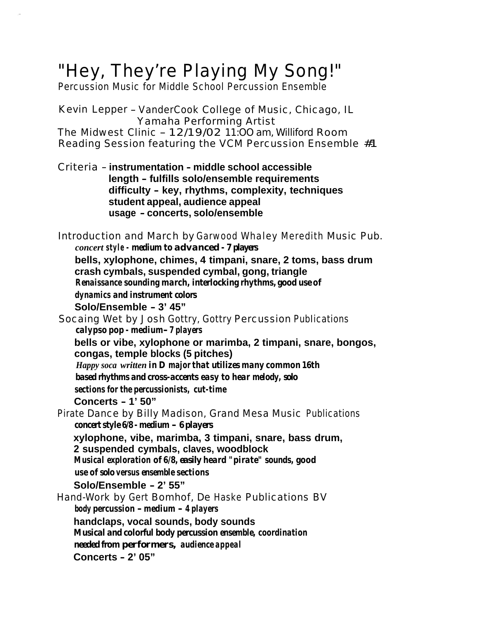# "Hey, They're Playing My Song!"

Percussion Music for Middle School Percussion Ensemble

Kevin Lepper - VanderCook College of Music, Chicago, IL Yamaha Performing Artist The Midwest Clinic - 12/19/02 11:OO am, Williford Room Reading Session featuring the VCM Percussion Ensemble #1

Criteria - **instrumentation - middle school accessible length - fulfills solo/ensemble requirements difficulty - key, rhythms, complexity, techniques student appeal, audience appeal usage - concerts, solo/ensemble**

Introduction and March by Garwood Whaley Meredith Music Pub. *concert style - medium to advanced - 7 players* **bells, xylophone, chimes, 4 timpani, snare, 2 toms, bass drum crash cymbals, suspended cymbal, gong, triangle** *Renaissance sounding march, interlocking rhythms, good use of dynamics and instrument colors* **Solo/Ensemble - 3' 45"** Socaing Wet by Josh Gottry, Gottry Percussion PubIications *calypso pop - medium -7 players* **bells or vibe, xylophone or marimba, 2 timpani, snare, bongos, congas, temple blocks (5 pitches)** *Happy soca written in D major that utilizes many common 16th based rhythms and cross-accents easy to hear melody, solo sections for the percussionists, cut-time* **Concerts - 1' 50"**  Pirate Dance by Billy Madison, Grand Mesa Music Publications *concert style 6/8 - medium - 6 players* **xylophone, vibe, marimba, 3 timpani, snare, bass drum, 2 suspended cymbals, claves, woodblock** *Musical exploration of 6/8, easilyheard "pirate" sounds, good use of soloversus ensemble sections* **Solo/Ensemble - 2' 55"** Hand-Work by Gert Bomhof, De Haske Publications BV *body percussion - medium - <sup>4</sup> players* **handclaps, vocal sounds, body sounds** *Musical and colorful body percussion ensemble, coordination needed from performers, audience appeal* **Concerts - 2' 05"**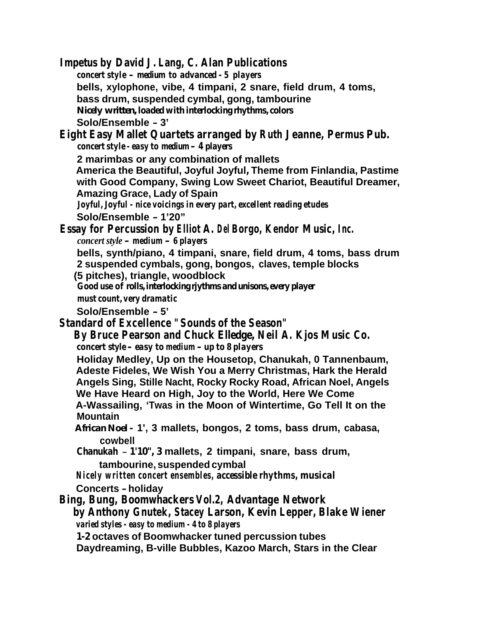### **Impetus by David J. Lang, C. Alan Publications**

*concert style - medium to advanced - 5 players*  **bells, xylophone, vibe, 4 timpani, 2 snare, field drum, 4 toms, bass drum, suspended cymbal, gong, tambourine** *Nicely written, loaded with interlocking rhythms, colors* **Solo/Ensemble - 3'**

## **Eight Easy Mallet Quartets arranged by Ruth Jeanne, Permus Pub.**

*concert style - easy to medium - 4 players*

**2 marimbas or any combination of mallets**

**America the Beautiful, Joyful Joyful, Theme from Finlandia, Pastime with Good Company, Swing Low Sweet Chariot, Beautiful Dreamer, Amazing Grace, Lady of Spain**

*Joyful, Joyful - nice voicings in every part, excellent reading etudes* **Solo/Ensemble - 1'20"**

## **Essay for Percussion by Elliot A. Del Borgo, Kendor Music, Inc.**

*concert style - medium - 6 players*

**bells, synth/piano, 4 timpani, snare, field drum, 4 toms, bass drum 2 suspended cymbals, gong, bongos, claves, temple blocks**

**(5 pitches), triangle, woodblock**

*Good use of rolls, interlocking rjythms and unisons, every player* 

*must count, very dramatic*

**Solo/Ensemble - 5'**

#### **Standard of Excellence "Sounds of the Season"**

## **By Bruce Pearson and Chuck Elledge, Neil A. Kjos Music Co.**

*concert style - easy to medium - up to 8 players* 

**Holiday Medley, Up on the Housetop, Chanukah, 0 Tannenbaum, Adeste Fideles, We Wish You a Merry Christmas, Hark the Herald Angels Sing, Stille Nacht, Rocky Rocky Road, African Noel, Angels We Have Heard on High, Joy to the World, Here We Come A-Wassailing, 'Twas in the Moon of Wintertime, Go Tell It on the Mountain**

*African Noel -* **1', 3 mallets, bongos, 2 toms, bass drum, cabasa, cowbell**

*Chanukah -* **1'10", 3 mallets, 2 timpani, snare, bass drum, tambourine, suspended cymbal**

*Nicely written concert ensembles, accessible rhythms, musical* **Concerts - holiday**

## **Bing, Bung, Boomwhackers Vol.2, Advantage Network**

#### **by Anthony Gnutek, Stacey Larson, Kevin Lepper, Blake Wiener** *varied styles - easy to medium - 4 to 8 players*

**1-2 octaves of Boomwhacker tuned percussion tubes Daydreaming, B-ville Bubbles, Kazoo March, Stars in the Clear**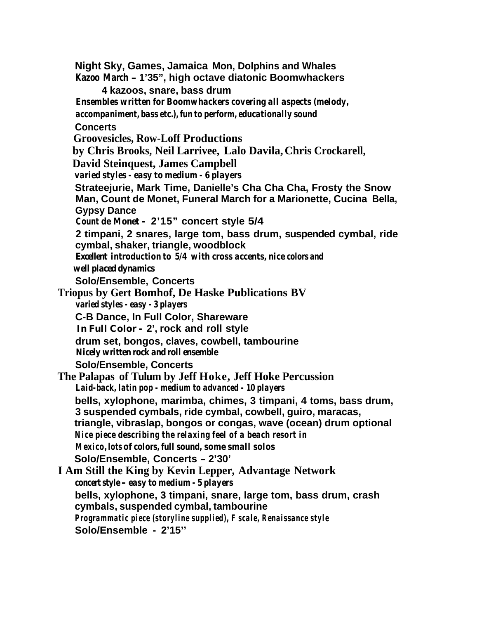**Night Sky, Games, Jamaica Mon, Dolphins and Whales** *Kazoo March* **- 1'35", high octave diatonic Boomwhackers 4 kazoos, snare, bass drum** *Ensembles written for Boomwhackers covering all aspects (melody, accompaniment, bass etc.), fun to perform, educationally sound* **Concerts Groovesicles, Row-Loff Productions by Chris Brooks, Neil Larrivee, Lalo Davila, Chris Crockarell, David Steinquest, James Campbell** *varied styles - easy to medium - 6 players*  **Strateejurie, Mark Time, Danielle's Cha Cha Cha, Frosty the Snow Man, Count de Monet, Funeral March for a Marionette, Cucina Bella, Gypsy Dance** *Count de Monet -* **2'15" concert style 5/4 2 timpani, 2 snares, large tom, bass drum, suspended cymbal, ride cymbal, shaker, triangle, woodblock** *Excellent introduction to 5/4 with cross accents, nice colors and well placed dynamics* **Solo/Ensemble, Concerts Triopus by Gert Bomhof, De Haske Publications BV** *varied styles - easy - 3 players* **C-B Dance, In Full Color, Shareware** *In Full Color -* **2', rock and roll style drum set, bongos, claves, cowbell, tambourine** *Nicely written rock and roll ensemble* **Solo/Ensemble, Concerts The Palapas of Tulum by Jeff Hoke, Jeff Hoke Percussion** *Laid-back, latin pop - medium to advanced - 10 players* **bells, xylophone, marimba, chimes, 3 timpani, 4 toms, bass drum, 3 suspended cymbals, ride cymbal, cowbell, guiro, maracas, triangle, vibraslap, bongos or congas, wave (ocean) drum optional** *Nice piece describing the relaxing feel of a beach resort in Mexico, lots of colors, full sound, some small solos* **Solo/Ensemble, Concerts - 2'30' I Am Still the King by Kevin Lepper, Advantage Network** *concert style - easy to medium - 5 players* **bells, xylophone, 3 timpani, snare, large tom, bass drum, crash cymbals, suspended cymbal, tambourine** *Programmatic piece (storyline supplied), F scale, Renaissance style* **Solo/Ensemble - 2'15''**